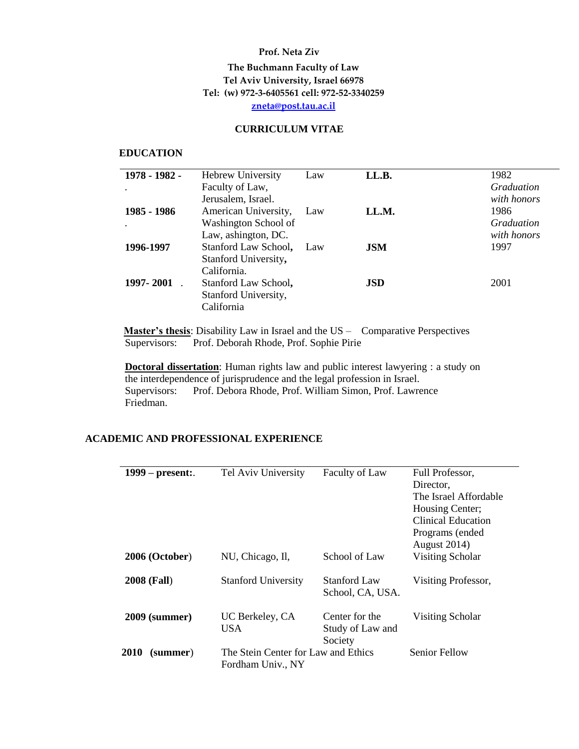## **Prof. Neta Ziv**

# **The Buchmann Faculty of Law Tel Aviv University, Israel 66978 Tel: (w) 972-3-6405561 cell: 972-52-3340259 [zneta@post.tau.ac.il](mailto:zneta@post.tau.ac.il)**

### **CURRICULUM VITAE**

#### **EDUCATION**

| 1978 - 1982 - | <b>Hebrew University</b> | Law | LL.B.      | 1982              |
|---------------|--------------------------|-----|------------|-------------------|
|               | Faculty of Law,          |     |            | <i>Graduation</i> |
|               | Jerusalem, Israel.       |     |            | with honors       |
| 1985 - 1986   | American University,     | Law | LL.M.      | 1986              |
|               | Washington School of     |     |            | Graduation        |
|               | Law, ashington, DC.      |     |            | with honors       |
| 1996-1997     | Stanford Law School, Law |     | <b>JSM</b> | 1997              |
|               | Stanford University,     |     |            |                   |
|               | California.              |     |            |                   |
| 1997-2001     | Stanford Law School,     |     | <b>JSD</b> | 2001              |
|               | Stanford University,     |     |            |                   |
|               | California               |     |            |                   |
|               |                          |     |            |                   |

**Master's thesis**: Disability Law in Israel and the US – Comparative Perspectives Supervisors: Prof. Deborah Rhode, Prof. Sophie Pirie

**Doctoral dissertation**: Human rights law and public interest lawyering : a study on the interdependence of jurisprudence and the legal profession in Israel. Supervisors: Prof. Debora Rhode, Prof. William Simon, Prof. Lawrence Friedman.

# **ACADEMIC AND PROFESSIONAL EXPERIENCE**

| $1999$ – present:       | Tel Aviv University                 | Faculty of Law                          | Full Professor,           |
|-------------------------|-------------------------------------|-----------------------------------------|---------------------------|
|                         |                                     |                                         | Director,                 |
|                         |                                     |                                         | The Israel Affordable     |
|                         |                                     |                                         | Housing Center;           |
|                         |                                     |                                         | <b>Clinical Education</b> |
|                         |                                     |                                         | Programs (ended           |
|                         |                                     |                                         | August 2014)              |
| $2006$ (October)        | NU, Chicago, Il,                    | School of Law                           | Visiting Scholar          |
| <b>2008 (Fall)</b>      | <b>Stanford University</b>          | <b>Stanford Law</b><br>School, CA, USA. | Visiting Professor,       |
| <b>2009 (summer)</b>    | UC Berkeley, CA                     | Center for the                          | Visiting Scholar          |
|                         | <b>USA</b>                          | Study of Law and                        |                           |
|                         |                                     | Society                                 |                           |
| <b>2010</b><br>(summer) | The Stein Center for Law and Ethics |                                         | Senior Fellow             |
|                         | Fordham Univ., NY                   |                                         |                           |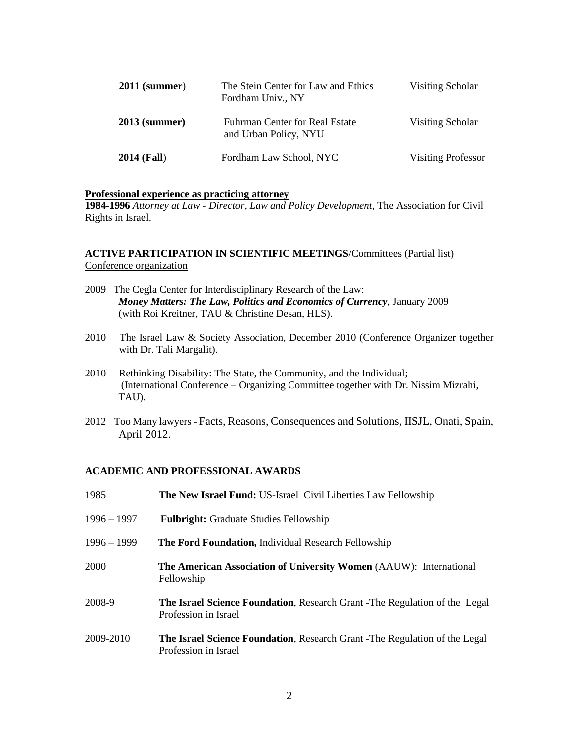| $2011$ (summer)    | The Stein Center for Law and Ethics<br>Fordham Univ., NY | Visiting Scholar          |
|--------------------|----------------------------------------------------------|---------------------------|
| $2013$ (summer)    | Fuhrman Center for Real Estate<br>and Urban Policy, NYU  | Visiting Scholar          |
| <b>2014 (Fall)</b> | Fordham Law School, NYC                                  | <b>Visiting Professor</b> |

#### **Professional experience as practicing attorney**

**1984-1996** *Attorney at Law - Director, Law and Policy Development,* The Association for Civil Rights in Israel.

**ACTIVE PARTICIPATION IN SCIENTIFIC MEETINGS**/Committees (Partial list) Conference organization

- 2009 The Cegla Center for Interdisciplinary Research of the Law: *Money Matters: The Law, Politics and Economics of Currency*, January 2009 (with Roi Kreitner, TAU & Christine Desan, HLS).
- 2010 The Israel Law & Society Association, December 2010 (Conference Organizer together with Dr. Tali Margalit).
- 2010 Rethinking Disability: The State, the Community, and the Individual; (International Conference – Organizing Committee together with Dr. Nissim Mizrahi, TAU).
- 2012 Too Many lawyers Facts, Reasons, Consequences and Solutions, IISJL, Onati, Spain, April 2012.

#### **ACADEMIC AND PROFESSIONAL AWARDS**

| 1985          | <b>The New Israel Fund: US-Israel Civil Liberties Law Fellowship</b>                                      |
|---------------|-----------------------------------------------------------------------------------------------------------|
| $1996 - 1997$ | <b>Fulbright:</b> Graduate Studies Fellowship                                                             |
| $1996 - 1999$ | The Ford Foundation, Individual Research Fellowship                                                       |
| 2000          | <b>The American Association of University Women (AAUW): International</b><br>Fellowship                   |
| 2008-9        | <b>The Israel Science Foundation, Research Grant -The Regulation of the Legal</b><br>Profession in Israel |
| 2009-2010     | <b>The Israel Science Foundation, Research Grant -The Regulation of the Legal</b><br>Profession in Israel |